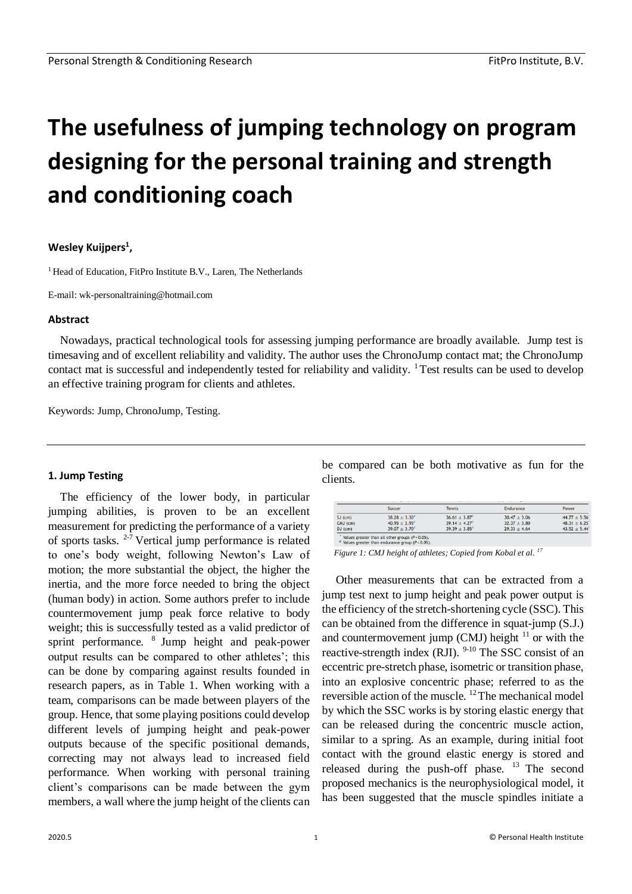# **The usefulness of jumping technology on program designing for the personal training and strength and conditioning coach**

## **Wesley Kuijpers<sup>1</sup> ,**

<sup>1</sup> Head of Education, FitPro Institute B.V., Laren, The Netherlands

E-mail: wk-personaltraining@hotmail.com

#### **Abstract**

Nowadays, practical technological tools for assessing jumping performance are broadly available. Jump test is timesaving and of excellent reliability and validity. The author uses the ChronoJump contact mat; the ChronoJump contact mat is successful and independently tested for reliability and validity. <sup>1</sup> Test results can be used to develop an effective training program for clients and athletes.

Keywords: Jump, ChronoJump, Testing.

#### **1. Jump Testing**

The efficiency of the lower body, in particular jumping abilities, is proven to be an excellent measurement for predicting the performance of a variety of sports tasks.  $2-7$  Vertical jump performance is related to one's body weight, following Newton's Law of motion; the more substantial the object, the higher the inertia, and the more force needed to bring the object (human body) in action. Some authors prefer to include countermovement jump peak force relative to body weight; this is successfully tested as a valid predictor of sprint performance.  $8$  Jump height and peak-power output results can be compared to other athletes'; this can be done by comparing against results founded in research papers, as in Table 1. When working with a team, comparisons can be made between players of the group. Hence, that some playing positions could develop different levels of jumping height and peak-power outputs because of the specific positional demands, correcting may not always lead to increased field performance. When working with personal training client's comparisons can be made between the gym members, a wall where the jump height of the clients can be compared can be both motivative as fun for the clients.

|               | Soccer           | Tennis           | Endurance        | Power            |
|---------------|------------------|------------------|------------------|------------------|
| $SJ$ ( $cm$ ) | $38.28 \pm 3.30$ | $36.61 \pm 3.87$ | $30.47 \pm 3.06$ | $44.77 \pm 5.56$ |
| $CMJ$ (cm)    | $40.95 \pm 2.95$ | $39.14 \pm 4.27$ | $32.37 \pm 3.80$ | $48.31 \pm 6.25$ |
| $DJ$ (cm)     | $39.07 \pm 3.70$ | $39.39 \pm 3.85$ | $29.33 \pm 4.64$ | $43.52 \pm 5.44$ |

*Figure 1: CMJ height of athletes; Copied from Kobal et al. <sup>17</sup>*

Other measurements that can be extracted from a jump test next to jump height and peak power output is the efficiency of the stretch-shortening cycle (SSC). This can be obtained from the difference in squat-jump (S.J.) and countermovement jump (CMJ) height  $11$  or with the reactive-strength index  $(RJI)$ . <sup>9-10</sup> The SSC consist of an eccentric pre-stretch phase, isometric or transition phase, into an explosive concentric phase; referred to as the reversible action of the muscle.  $12$  The mechanical model by which the SSC works is by storing elastic energy that can be released during the concentric muscle action, similar to a spring. As an example, during initial foot contact with the ground elastic energy is stored and released during the push-off phase.  $13$  The second proposed mechanics is the neurophysiological model, it has been suggested that the muscle spindles initiate a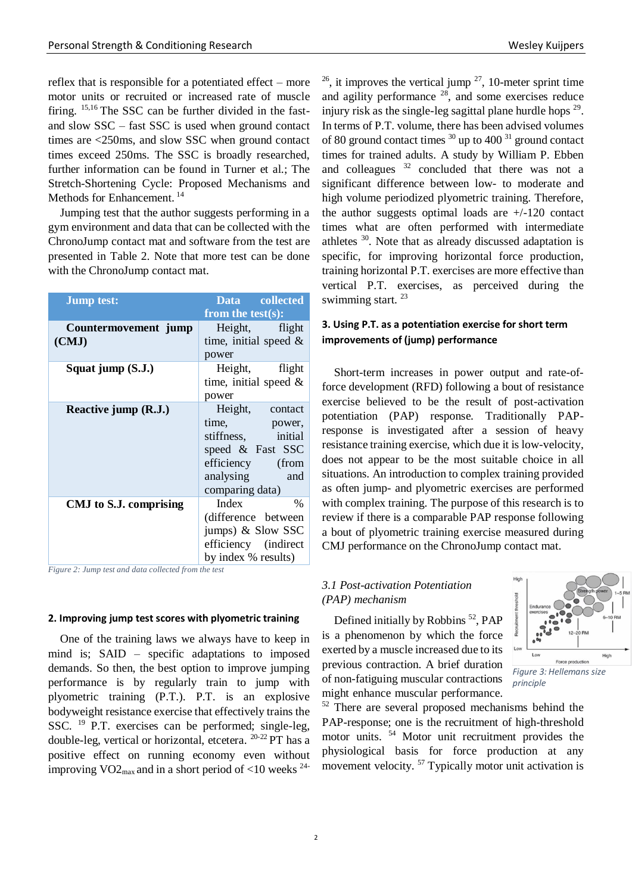reflex that is responsible for a potentiated effect – more motor units or recruited or increased rate of muscle firing. 15,16 The SSC can be further divided in the fastand slow SSC – fast SSC is used when ground contact times are <250ms, and slow SSC when ground contact times exceed 250ms. The SSC is broadly researched, further information can be found in Turner et al.; The Stretch-Shortening Cycle: Proposed Mechanisms and Methods for Enhancement. <sup>14</sup>

Jumping test that the author suggests performing in a gym environment and data that can be collected with the ChronoJump contact mat and software from the test are presented in Table 2. Note that more test can be done with the ChronoJump contact mat.

| <b>Jump test:</b>      | Data collected           |  |
|------------------------|--------------------------|--|
|                        | from the test $(s)$ :    |  |
| Countermovement jump   | Height, flight           |  |
| (CMJ)                  | time, initial speed $\&$ |  |
|                        | power                    |  |
| Squat jump (S.J.)      | Height, flight           |  |
|                        | time, initial speed $\&$ |  |
|                        | power                    |  |
| Reactive jump (R.J.)   | Height, contact          |  |
|                        | time, power,             |  |
|                        | stiffness, initial       |  |
|                        | speed & Fast SSC         |  |
|                        | efficiency (from         |  |
|                        | analysing and            |  |
|                        | comparing data)          |  |
| CMJ to S.J. comprising | Index<br>$\%$            |  |
|                        | (difference between)     |  |
|                        | jumps) & Slow SSC        |  |
|                        | efficiency (indirect     |  |
|                        | by index % results)      |  |

*Figure 2: Jump test and data collected from the test*

#### **2. Improving jump test scores with plyometric training**

One of the training laws we always have to keep in mind is; SAID – specific adaptations to imposed demands. So then, the best option to improve jumping performance is by regularly train to jump with plyometric training (P.T.). P.T. is an explosive bodyweight resistance exercise that effectively trains the SSC.  $^{19}$  P.T. exercises can be performed; single-leg, double-leg, vertical or horizontal, etcetera.  $^{20-22}$  PT has a positive effect on running economy even without improving  $VO2_{\text{max}}$  and in a short period of <10 weeks  $^{24}$ -

 $26$ , it improves the vertical jump  $27$ , 10-meter sprint time and agility performance  $28$ , and some exercises reduce injury risk as the single-leg sagittal plane hurdle hops  $29$ . In terms of P.T. volume, there has been advised volumes of 80 ground contact times  $30 \text{ up to } 400$   $31 \text{ ground contact}$ times for trained adults. A study by William P. Ebben and colleagues  $32$  concluded that there was not a significant difference between low- to moderate and high volume periodized plyometric training. Therefore, the author suggests optimal loads are  $+/-120$  contact times what are often performed with intermediate athletes <sup>30</sup> . Note that as already discussed adaptation is specific, for improving horizontal force production, training horizontal P.T. exercises are more effective than vertical P.T. exercises, as perceived during the swimming start.<sup>23</sup>

## **3. Using P.T. as a potentiation exercise for short term improvements of (jump) performance**

Short-term increases in power output and rate-offorce development (RFD) following a bout of resistance exercise believed to be the result of post-activation potentiation (PAP) response. Traditionally PAPresponse is investigated after a session of heavy resistance training exercise, which due it is low-velocity, does not appear to be the most suitable choice in all situations. An introduction to complex training provided as often jump- and plyometric exercises are performed with complex training. The purpose of this research is to review if there is a comparable PAP response following a bout of plyometric training exercise measured during CMJ performance on the ChronoJump contact mat.

## *3.1 Post-activation Potentiation (PAP) mechanism*

Defined initially by Robbins<sup>52</sup>, PAP is a phenomenon by which the force exerted by a muscle increased due to its previous contraction. A brief duration of non-fatiguing muscular contractions might enhance muscular performance.



<sup>52</sup> There are several proposed mechanisms behind the PAP-response; one is the recruitment of high-threshold motor units. <sup>54</sup> Motor unit recruitment provides the physiological basis for force production at any movement velocity.<sup>57</sup> Typically motor unit activation is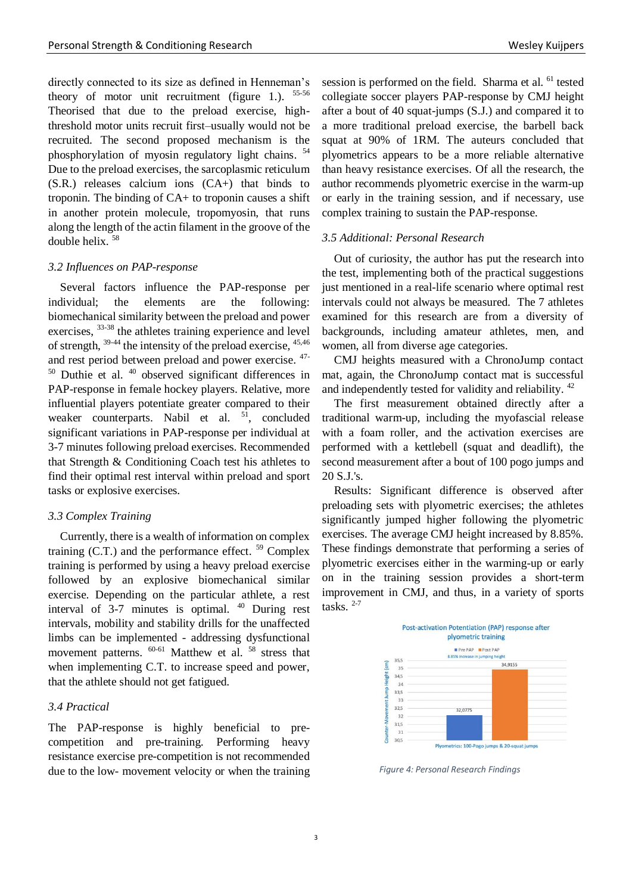directly connected to its size as defined in Henneman's theory of motor unit recruitment (figure 1.).  $55-56$ Theorised that due to the preload exercise, highthreshold motor units recruit first–usually would not be recruited. The second proposed mechanism is the phosphorylation of myosin regulatory light chains. 54 Due to the preload exercises, the sarcoplasmic reticulum (S.R.) releases calcium ions (CA+) that binds to troponin. The binding of CA+ to troponin causes a shift in another protein molecule, tropomyosin, that runs along the length of the actin filament in the groove of the double helix. 58

#### *3.2 Influences on PAP-response*

Several factors influence the PAP-response per individual; the elements are the following: biomechanical similarity between the preload and power exercises,  $33-38$  the athletes training experience and level of strength,  $39-44$  the intensity of the preload exercise,  $45,46$ and rest period between preload and power exercise. 47-  $50$  Duthie et al.  $40$  observed significant differences in PAP-response in female hockey players. Relative, more influential players potentiate greater compared to their weaker counterparts. Nabil et al.  $51$ , concluded significant variations in PAP-response per individual at 3-7 minutes following preload exercises. Recommended that Strength & Conditioning Coach test his athletes to find their optimal rest interval within preload and sport tasks or explosive exercises.

#### *3.3 Complex Training*

Currently, there is a wealth of information on complex training (C.T.) and the performance effect. <sup>59</sup> Complex training is performed by using a heavy preload exercise followed by an explosive biomechanical similar exercise. Depending on the particular athlete, a rest interval of 3-7 minutes is optimal. <sup>40</sup> During rest intervals, mobility and stability drills for the unaffected limbs can be implemented - addressing dysfunctional movement patterns. <sup>60-61</sup> Matthew et al. <sup>58</sup> stress that when implementing C.T. to increase speed and power, that the athlete should not get fatigued.

#### *3.4 Practical*

The PAP-response is highly beneficial to precompetition and pre-training. Performing heavy resistance exercise pre-competition is not recommended due to the low- movement velocity or when the training session is performed on the field. Sharma et al. <sup>61</sup> tested collegiate soccer players PAP-response by CMJ height after a bout of 40 squat-jumps (S.J.) and compared it to a more traditional preload exercise, the barbell back squat at 90% of 1RM. The auteurs concluded that plyometrics appears to be a more reliable alternative than heavy resistance exercises. Of all the research, the author recommends plyometric exercise in the warm-up or early in the training session, and if necessary, use complex training to sustain the PAP-response.

### *3.5 Additional: Personal Research*

Out of curiosity, the author has put the research into the test, implementing both of the practical suggestions just mentioned in a real-life scenario where optimal rest intervals could not always be measured. The 7 athletes examined for this research are from a diversity of backgrounds, including amateur athletes, men, and women, all from diverse age categories.

CMJ heights measured with a ChronoJump contact mat, again, the ChronoJump contact mat is successful and independently tested for validity and reliability.<sup>42</sup>

The first measurement obtained directly after a traditional warm-up, including the myofascial release with a foam roller, and the activation exercises are performed with a kettlebell (squat and deadlift), the second measurement after a bout of 100 pogo jumps and 20 S.J.'s.

Results: Significant difference is observed after preloading sets with plyometric exercises; the athletes significantly jumped higher following the plyometric exercises. The average CMJ height increased by 8.85%. These findings demonstrate that performing a series of plyometric exercises either in the warming-up or early on in the training session provides a short-term improvement in CMJ, and thus, in a variety of sports tasks. 2-7



*Figure 4: Personal Research Findings*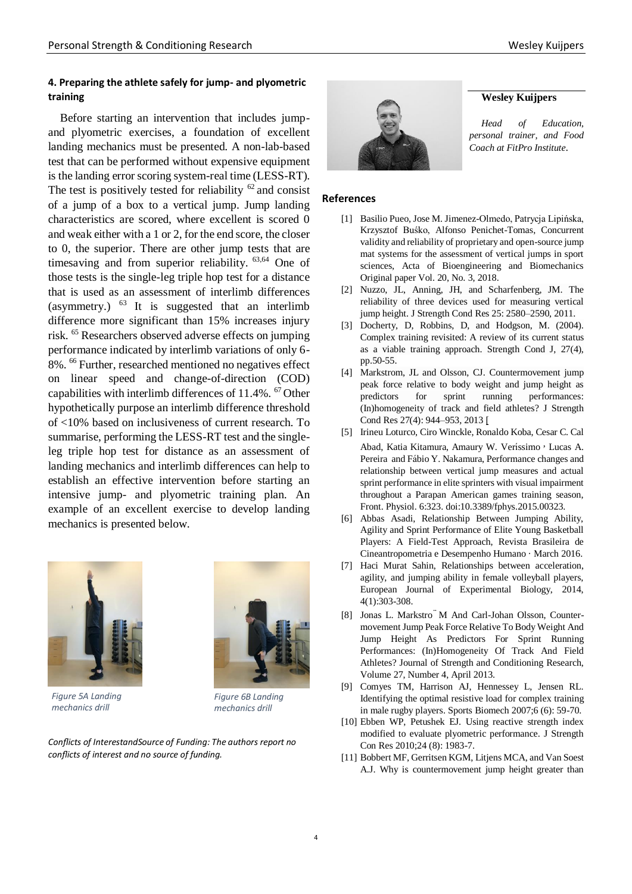## **4. Preparing the athlete safely for jump- and plyometric training**

Before starting an intervention that includes jumpand plyometric exercises, a foundation of excellent landing mechanics must be presented. A non-lab-based test that can be performed without expensive equipment is the landing error scoring system-real time (LESS-RT). The test is positively tested for reliability  $62$  and consist of a jump of a box to a vertical jump. Jump landing characteristics are scored, where excellent is scored 0 and weak either with a 1 or 2, for the end score, the closer to 0, the superior. There are other jump tests that are timesaving and from superior reliability. <sup>63,64</sup> One of those tests is the single-leg triple hop test for a distance that is used as an assessment of interlimb differences (asymmetry.)  $^{63}$  It is suggested that an interlimb difference more significant than 15% increases injury risk. <sup>65</sup> Researchers observed adverse effects on jumping performance indicated by interlimb variations of only 6- 8%. <sup>66</sup> Further, researched mentioned no negatives effect on linear speed and change-of-direction (COD) capabilities with interlimb differences of 11.4%. <sup>67</sup> Other hypothetically purpose an interlimb difference threshold of <10% based on inclusiveness of current research. To summarise, performing the LESS-RT test and the singleleg triple hop test for distance as an assessment of landing mechanics and interlimb differences can help to establish an effective intervention before starting an intensive jump- and plyometric training plan. An example of an excellent exercise to develop landing mechanics is presented below.



*Figure 5A Landing mechanics drill*



*Figure 6B Landing mechanics drill*

*Conflicts of InterestandSource of Funding: The authors report no conflicts of interest and no source of funding.*



#### **Wesley Kuijpers**

*Head of Education, personal trainer, and Food Coach at FitPro Institute*.

#### **References**

- [1] Basilio Pueo, Jose M. Jimenez-Olmedo, Patrycja Lipińska, Krzysztof Buśko, Alfonso Penichet-Tomas, Concurrent validity and reliability of proprietary and open-source jump mat systems for the assessment of vertical jumps in sport sciences, Acta of Bioengineering and Biomechanics Original paper Vol. 20, No. 3, 2018.
- [2] Nuzzo, JL, Anning, JH, and Scharfenberg, JM. The reliability of three devices used for measuring vertical jump height. J Strength Cond Res 25: 2580–2590, 2011.
- [3] Docherty, D, Robbins, D, and Hodgson, M. (2004). Complex training revisited: A review of its current status as a viable training approach. Strength Cond J, 27(4), pp.50-55.
- [4] Markstrom, JL and Olsson, CJ. Countermovement jump peak force relative to body weight and jump height as predictors for sprint running performances: (In)homogeneity of track and field athletes? J Strength Cond Res 27(4): 944–953, 2013 [\[](http://www.ncbi.nlm.nih.gov/pubmed/22692108)
- [5] Irineu Loturco, Ciro Winckle, Ronaldo Koba, Cesar C. Cal
- Abad, Katia Kitamura, Amaury W. Veríssimo , Lucas A. Pereira and Fábio Y. Nakamura, Performance changes and relationship between vertical jump measures and actual sprint performance in elite sprinters with visual impairment throughout a Parapan American games training season, Front. Physiol. 6:323. doi:10.3389/fphys.2015.00323.
- [6] Abbas Asadi, Relationship Between Jumping Ability, Agility and Sprint Performance of Elite Young Basketball Players: A Field-Test Approach, Revista Brasileira de Cineantropometria e Desempenho Humano · March 2016.
- [7] Haci Murat Sahin, Relationships between acceleration, agility, and jumping ability in female volleyball players, European Journal of Experimental Biology, 2014, 4(1):303-308.
- [8] Jonas L. Markstro<sup>"</sup> M And Carl-Johan Olsson, Countermovement Jump Peak Force Relative To Body Weight And Jump Height As Predictors For Sprint Running Performances: (In)Homogeneity Of Track And Field Athletes? Journal of Strength and Conditioning Research, Volume 27, Number 4, April 2013.
- [9] Comyes TM, Harrison AJ, Hennessey L, Jensen RL. Identifying the optimal resistive load for complex training in male rugby players. Sports Biomech 2007;6 (6): 59-70.
- [10] Ebben WP, Petushek EJ. Using reactive strength index modified to evaluate plyometric performance. J Strength Con Res 2010;24 (8): 1983-7.
- [11] Bobbert MF, Gerritsen KGM, Litjens MCA, and Van Soest A.J. Why is countermovement jump height greater than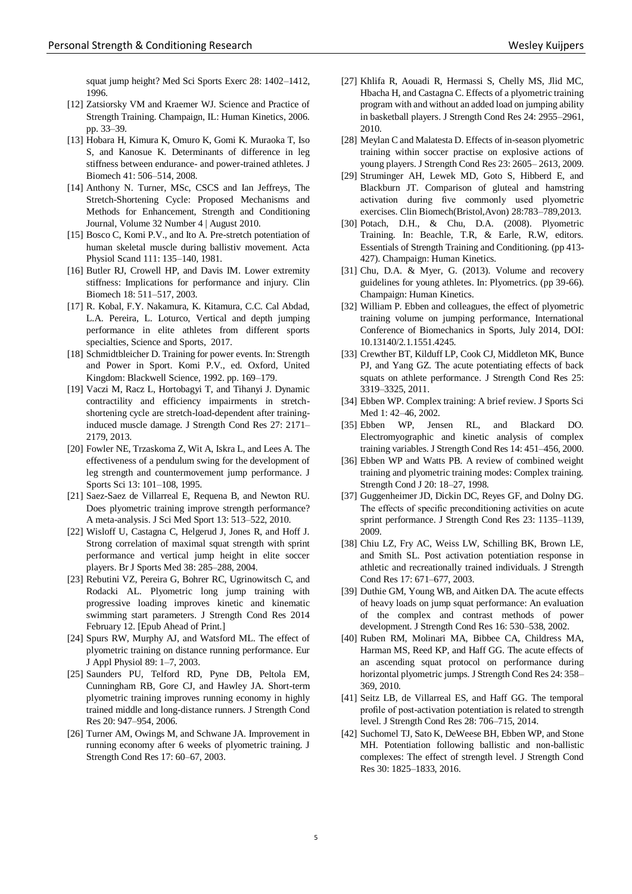squat jump height? Med Sci Sports Exerc 28: 1402–1412, 1996.

- [12] Zatsiorsky VM and Kraemer WJ. Science and Practice of Strength Training. Champaign, IL: Human Kinetics, 2006. pp. 33–39.
- [13] Hobara H, Kimura K, Omuro K, Gomi K. Muraoka T, Iso S, and Kanosue K. Determinants of difference in leg stiffness between endurance- and power-trained athletes. J Biomech 41: 506–514, 2008.
- [14] Anthony N. Turner, MSc, CSCS and Ian Jeffreys, The Stretch-Shortening Cycle: Proposed Mechanisms and Methods for Enhancement, Strength and Conditioning Journal, Volume 32 Number 4 | August 2010.
- [15] Bosco C, Komi P.V., and Ito A. Pre-stretch potentiation of human skeletal muscle during ballistiv movement. Acta Physiol Scand 111: 135–140, 1981.
- [16] Butler RJ, Crowell HP, and Davis IM. Lower extremity stiffness: Implications for performance and injury. Clin Biomech 18: 511–517, 2003.
- [17] R. Kobal, F.Y. Nakamura, K. Kitamura, C.C. Cal Abdad, L.A. Pereira, L. Loturco, Vertical and depth jumping performance in elite athletes from different sports specialties, Science and Sports, 2017.
- [18] Schmidtbleicher D. Training for power events. In: Strength and Power in Sport. Komi P.V., ed. Oxford, United Kingdom: Blackwell Science, 1992. pp. 169–179.
- [19] Vaczi M, Racz L, Hortobagyi T, and Tihanyi J. Dynamic contractility and efficiency impairments in stretchshortening cycle are stretch-load-dependent after traininginduced muscle damage. J Strength Cond Res 27: 2171– 2179, 2013.
- [20] Fowler NE, Trzaskoma Z, Wit A, Iskra L, and Lees A. The effectiveness of a pendulum swing for the development of leg strength and countermovement jump performance. J Sports Sci 13: 101–108, 1995.
- [21] Saez-Saez de Villarreal E, Requena B, and Newton RU. Does plyometric training improve strength performance? A meta-analysis. J Sci Med Sport 13: 513–522, 2010.
- [22] Wisloff U, Castagna C, Helgerud J, Jones R, and Hoff J. Strong correlation of maximal squat strength with sprint performance and vertical jump height in elite soccer players. Br J Sports Med 38: 285–288, 2004.
- [23] Rebutini VZ, Pereira G, Bohrer RC, Ugrinowitsch C, and Rodacki AL. Plyometric long jump training with progressive loading improves kinetic and kinematic swimming start parameters. J Strength Cond Res 2014 February 12. [Epub Ahead of Print.]
- [24] Spurs RW, Murphy AJ, and Watsford ML. The effect of plyometric training on distance running performance. Eur J Appl Physiol 89: 1–7, 2003.
- [25] Saunders PU, Telford RD, Pyne DB, Peltola EM, Cunningham RB, Gore CJ, and Hawley JA. Short-term plyometric training improves running economy in highly trained middle and long-distance runners. J Strength Cond Res 20: 947–954, 2006.
- [26] Turner AM, Owings M, and Schwane JA. Improvement in running economy after 6 weeks of plyometric training. J Strength Cond Res 17: 60–67, 2003.
- [27] Khlifa R, Aouadi R, Hermassi S, Chelly MS, Jlid MC, Hbacha H, and Castagna C. Effects of a plyometric training program with and without an added load on jumping ability in basketball players. J Strength Cond Res 24: 2955–2961, 2010.
- [28] Meylan C and Malatesta D. Effects of in-season plyometric training within soccer practise on explosive actions of young players. J Strength Cond Res 23: 2605– 2613, 2009.
- [29] Struminger AH, Lewek MD, Goto S, Hibberd E, and Blackburn JT. Comparison of gluteal and hamstring activation during five commonly used plyometric exercises. Clin Biomech(Bristol,Avon) 28:783–789,2013.
- [30] Potach, D.H., & Chu, D.A. (2008). Plyometric Training. In: Beachle, T.R, & Earle, R.W, editors. Essentials of Strength Training and Conditioning. (pp 413- 427). Champaign: Human Kinetics.
- [31] Chu, D.A. & Myer, G. (2013). Volume and recovery guidelines for young athletes. In: Plyometrics. (pp 39-66). Champaign: Human Kinetics.
- [32] William P. Ebben and colleagues, the effect of plyometric training volume on jumping performance, International Conference of Biomechanics in Sports, July 2014, DOI: 10.13140/2.1.1551.4245.
- [33] Crewther BT, Kilduff LP, Cook CJ, Middleton MK, Bunce PJ, and Yang GZ. The acute potentiating effects of back squats on athlete performance. J Strength Cond Res 25: 3319–3325, 2011.
- [34] Ebben WP. Complex training: A brief review. J Sports Sci Med 1: 42–46, 2002.
- [35] Ebben WP, Jensen RL, and Blackard DO. Electromyographic and kinetic analysis of complex training variables. J Strength Cond Res 14: 451–456, 2000.
- [36] Ebben WP and Watts PB. A review of combined weight training and plyometric training modes: Complex training. Strength Cond J 20: 18–27, 1998.
- [37] Guggenheimer JD, Dickin DC, Reyes GF, and Dolny DG. The effects of specific preconditioning activities on acute sprint performance. J Strength Cond Res 23: 1135–1139, 2009.
- [38] Chiu LZ, Fry AC, Weiss LW, Schilling BK, Brown LE, and Smith SL. Post activation potentiation response in athletic and recreationally trained individuals. J Strength Cond Res 17: 671–677, 2003.
- [39] Duthie GM, Young WB, and Aitken DA. The acute effects of heavy loads on jump squat performance: An evaluation of the complex and contrast methods of power development. J Strength Cond Res 16: 530–538, 2002.
- [40] Ruben RM, Molinari MA, Bibbee CA, Childress MA, Harman MS, Reed KP, and Haff GG. The acute effects of an ascending squat protocol on performance during horizontal plyometric jumps. J Strength Cond Res 24: 358– 369, 2010.
- [41] Seitz LB, de Villarreal ES, and Haff GG. The temporal profile of post-activation potentiation is related to strength level. J Strength Cond Res 28: 706–715, 2014.
- [42] Suchomel TJ, Sato K, DeWeese BH, Ebben WP, and Stone MH. Potentiation following ballistic and non-ballistic complexes: The effect of strength level. J Strength Cond Res 30: 1825–1833, 2016.